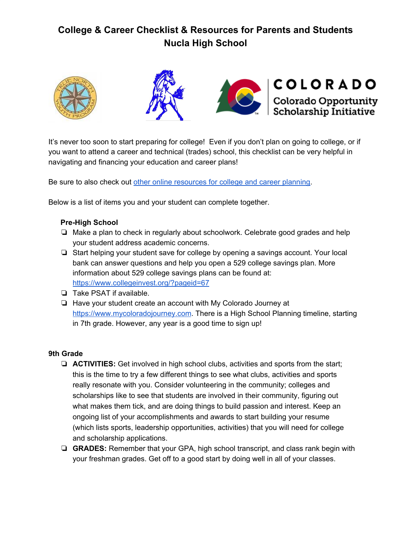







It's never too soon to start preparing for college! Even if you don't plan on going to college, or if you want to attend a career and technical (trades) school, this checklist can be very helpful in navigating and financing your education and career plans!

Be sure to also check out other online [resources](https://docs.google.com/document/d/1FrdfaONGKS0e95QwA8z6tF86gkRNXF0JsSxQOGiVpoo/edit) for college and career planning.

Below is a list of items you and your student can complete together.

## **Pre-High School**

- ❏ Make a plan to check in regularly about schoolwork. Celebrate good grades and help your student address academic concerns.
- ❏ Start helping your student save for college by opening a savings account. Your local bank can answer questions and help you open a 529 college savings plan. More information about 529 college savings plans can be found at: <https://www.collegeinvest.org/?pageid=67>
- ❏ Take PSAT if available.
- ❏ Have your student create an account with My Colorado Journey at [https://www.mycoloradojourney.com](https://www.mycoloradojourney.com/journey). There is a High School Planning timeline, starting in 7th grade. However, any year is a good time to sign up!

## **9th Grade**

- ❏ **ACTIVITIES:** Get involved in high school clubs, activities and sports from the start; this is the time to try a few different things to see what clubs, activities and sports really resonate with you. Consider volunteering in the community; colleges and scholarships like to see that students are involved in their community, figuring out what makes them tick, and are doing things to build passion and interest. Keep an ongoing list of your accomplishments and awards to start building your resume (which lists sports, leadership opportunities, activities) that you will need for college and scholarship applications.
- ❏ **GRADES:** Remember that your GPA, high school transcript, and class rank begin with your freshman grades. Get off to a good start by doing well in all of your classes.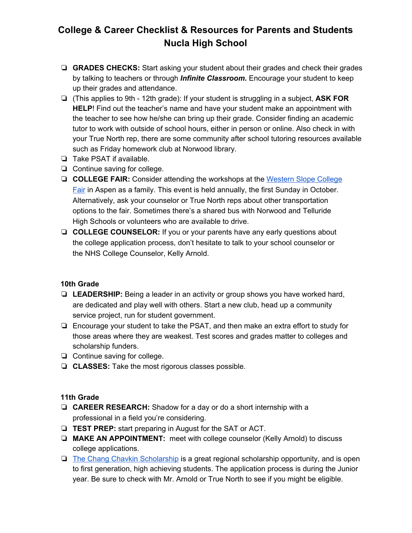- ❏ **GRADES CHECKS:** Start asking your student about their grades and check their grades by talking to teachers or through *Infinite Classroom.* Encourage your student to keep up their grades and attendance.
- ❏ (This applies to 9th 12th grade): If your student is struggling in a subject, **ASK FOR HELP**! Find out the teacher's name and have your student make an appointment with the teacher to see how he/she can bring up their grade. Consider finding an academic tutor to work with outside of school hours, either in person or online. Also check in with your True North rep, there are some community after school tutoring resources available such as Friday homework club at Norwood library.
- ❏ Take PSAT if available.
- ❏ Continue saving for college.
- ❏ **COLLEGE FAIR:** Consider attending the workshops at the [Western](http://www.cwscollegefair.org/) Slope College [Fair](http://www.cwscollegefair.org/) in Aspen as a family. This event is held annually, the first Sunday in October. Alternatively, ask your counselor or True North reps about other transportation options to the fair. Sometimes there's a shared bus with Norwood and Telluride High Schools or volunteers who are available to drive.
- ❏ **COLLEGE COUNSELOR:** If you or your parents have any early questions about the college application process, don't hesitate to talk to your school counselor or the NHS College Counselor, Kelly Arnold.

## **10th Grade**

- ❏ **LEADERSHIP:** Being a leader in an activity or group shows you have worked hard, are dedicated and play well with others. Start a new club, head up a community service project, run for student government.
- ❏ Encourage your student to take the PSAT, and then make an extra effort to study for those areas where they are weakest. Test scores and grades matter to colleges and scholarship funders.
- ❏ Continue saving for college.
- ❏ **CLASSES:** Take the most rigorous classes possible.

## **11th Grade**

- ❏ **CAREER RESEARCH:** Shadow for a day or do a short internship with a professional in a field you're considering.
- ❏ **TEST PREP:** start preparing in August for the SAT or ACT.
- ❏ **MAKE AN APPOINTMENT:** meet with college counselor (Kelly Arnold) to discuss college applications.
- ❏ The Chang Chavkin [Scholarship](https://changchavkinscholars.org/colorado/) is a great regional scholarship opportunity, and is open to first generation, high achieving students. The application process is during the Junior year. Be sure to check with Mr. Arnold or True North to see if you might be eligible.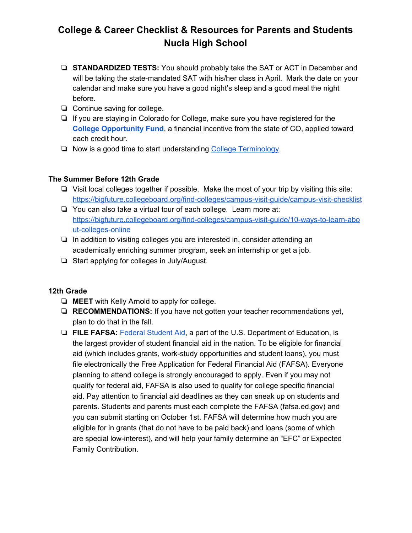- ❏ **STANDARDIZED TESTS:** You should probably take the SAT or ACT in December and will be taking the state-mandated SAT with his/her class in April. Mark the date on your calendar and make sure you have a good night's sleep and a good meal the night before.
- ❏ Continue saving for college.
- ❏ If you are staying in Colorado for College, make sure you have registered for the **College [Opportunity](https://cof.college-assist.org/) Fund**, a financial incentive from the state of CO, applied toward each credit hour.
- ❏ Now is a good time to start understanding College [Terminology.](https://docs.google.com/document/d/1GCYIyIDewlSinIP7q2fs4X9uZoUJAPE46fpwUgyU-gA/edit)

## **The Summer Before 12th Grade**

- ❏ Visit local colleges together if possible. Make the most of your trip by visiting this site: <https://bigfuture.collegeboard.org/find-colleges/campus-visit-guide/campus-visit-checklist>
- ❏ You can also take a virtual tour of each college. Learn more at: [https://bigfuture.collegeboard.org/find-colleges/campus-visit-guide/10-ways-to-learn-abo](https://bigfuture.collegeboard.org/find-colleges/campus-visit-guide/10-ways-to-learn-about-colleges-online) [ut-colleges-online](https://bigfuture.collegeboard.org/find-colleges/campus-visit-guide/10-ways-to-learn-about-colleges-online)
- ❏ In addition to visiting colleges you are interested in, consider attending an academically enriching summer program, seek an internship or get a job.
- ❏ Start applying for colleges in July/August.

## **12th Grade**

- ❏ **MEET** with Kelly Arnold to apply for college.
- ❏ **RECOMMENDATIONS:** If you have not gotten your teacher recommendations yet, plan to do that in the fall.
- ❏ **FILE FAFSA:** Federal [Student](https://studentaid.ed.gov/about) Aid, a part of the U.S. Department of Education, is the largest provider of student financial aid in the nation. To be eligible for financial aid (which includes grants, work-study opportunities and student loans), you must file electronically the Free Application for Federal Financial Aid (FAFSA). Everyone planning to attend college is strongly encouraged to apply. Even if you may not qualify for federal aid, FAFSA is also used to qualify for college specific financial aid. Pay attention to financial aid deadlines as they can sneak up on students and parents. Students and parents must each complete the FAFSA (fafsa.ed.gov) and you can submit starting on October 1st. FAFSA will determine how much you are eligible for in grants (that do not have to be paid back) and loans (some of which are special low-interest), and will help your family determine an "EFC" or Expected Family Contribution.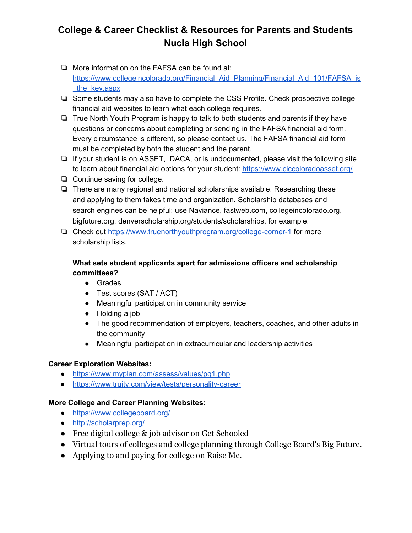- ❏ More information on the FAFSA can be found at: https://www.collegeincolorado.org/Financial Aid Planning/Financial Aid 101/FAFSA is the key.aspx
- ❏ Some students may also have to complete the CSS Profile. Check prospective college financial aid websites to learn what each college requires.
- ❏ True North Youth Program is happy to talk to both students and parents if they have questions or concerns about completing or sending in the FAFSA financial aid form. Every circumstance is different, so please contact us. The FAFSA financial aid form must be completed by both the student and the parent.
- ❏ If your student is on ASSET, DACA, or is undocumented, please visit the following site to learn about financial aid options for your student: <https://www.ciccoloradoasset.org/>
- ❏ Continue saving for college.
- ❏ There are many regional and national scholarships available. Researching these and applying to them takes time and organization. Scholarship databases and search engines can be helpful; use Naviance, fastweb.com, collegeincolorado.org, bigfuture.org, [denverscholarship.org/students/scholarships,](https://denverscholarship.org/students/scholarships) for example.
- ❏ Check out <https://www.truenorthyouthprogram.org/college-corner-1> for more scholarship lists.

## **What sets student applicants apart for admissions officers and scholarship committees?**

- Grades
- Test scores (SAT / ACT)
- Meaningful participation in community service
- Holding a job
- The good recommendation of employers, teachers, coaches, and other adults in the community
- Meaningful participation in extracurricular and leadership activities

## **Career Exploration Websites:**

- <https://www.myplan.com/assess/values/pg1.php>
- <https://www.truity.com/view/tests/personality-career>

## **More College and Career Planning Websites:**

- <https://www.collegeboard.org/>
- <http://scholarprep.org/>
- Free digital college & job advisor on [Get Schooled](https://getschooled.com/)
- Virtual tours of colleges and college planning through [College Board's Big Future.](https://bigfuture.collegeboard.org/)
- Applying to and paying for college on [Raise Me](https://www.raise.me/blog/homepage/students/).